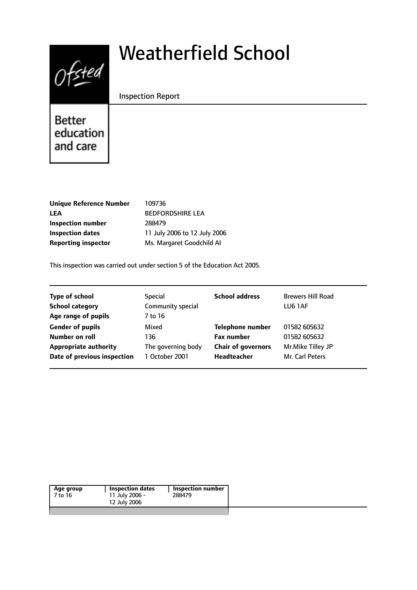# $0$ fsted

# Weatherfield School

Inspection Report

**Better** education and care

| <b>Unique Reference Number</b> | 109736       |
|--------------------------------|--------------|
| <b>LEA</b>                     | <b>BEDFO</b> |
| <b>Inspection number</b>       | 288479       |
| <b>Inspection dates</b>        | 11 July      |
| <b>Reporting inspector</b>     | Ms. Ma       |

**LEA** BEDFORDSHIRE LEA *I* 2006 to 12 July 2006 **Reporting inspector** Ms. Margaret Goodchild AI

This inspection was carried out under section 5 of the Education Act 2005.

| Special            | <b>School address</b>     | <b>Brewers Hill Road</b> |
|--------------------|---------------------------|--------------------------|
| Community special  |                           | LU6 1AF                  |
| 7 to 16            |                           |                          |
| Mixed              | <b>Telephone number</b>   | 01582 605632             |
| 136                | <b>Fax number</b>         | 01582 605632             |
| The governing body | <b>Chair of governors</b> | Mr.Mike Tilley JP        |
| 1 October 2001     | Headteacher               | Mr. Carl Peters          |
|                    |                           |                          |

| Age group | Inspection dates | Inspection number |
|-----------|------------------|-------------------|
| 7 to 16   | 11 July 2006 -   | 288479            |
|           | 12 July 2006     |                   |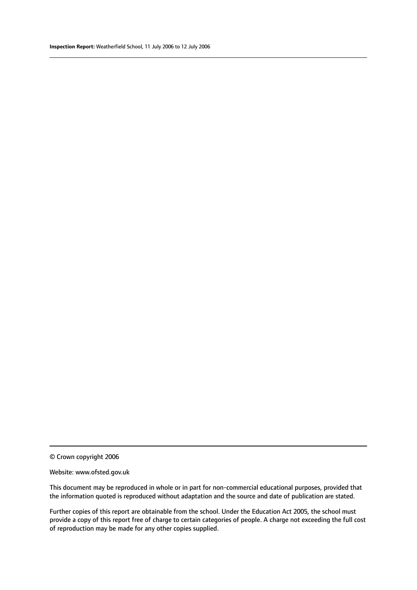#### Website: www.ofsted.gov.uk

This document may be reproduced in whole or in part for non-commercial educational purposes, provided that the information quoted is reproduced without adaptation and the source and date of publication are stated.

Further copies of this report are obtainable from the school. Under the Education Act 2005, the school must provide a copy of this report free of charge to certain categories of people. A charge not exceeding the full cost of reproduction may be made for any other copies supplied.

<sup>©</sup> Crown copyright 2006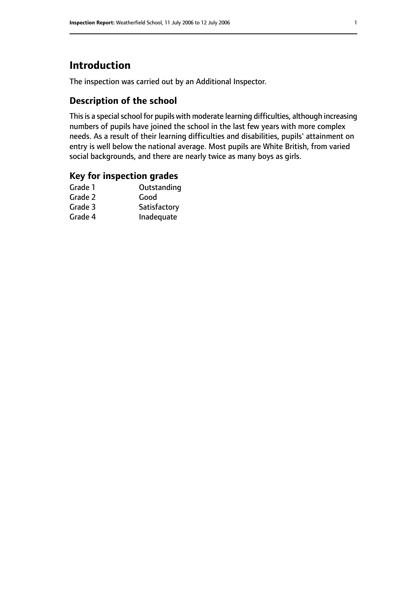# **Introduction**

The inspection was carried out by an Additional Inspector.

# **Description of the school**

This is a special school for pupils with moderate learning difficulties, although increasing numbers of pupils have joined the school in the last few years with more complex needs. As a result of their learning difficulties and disabilities, pupils' attainment on entry is well below the national average. Most pupils are White British, from varied social backgrounds, and there are nearly twice as many boys as girls.

# **Key for inspection grades**

| Good         |
|--------------|
|              |
| Satisfactory |
| Inadequate   |
|              |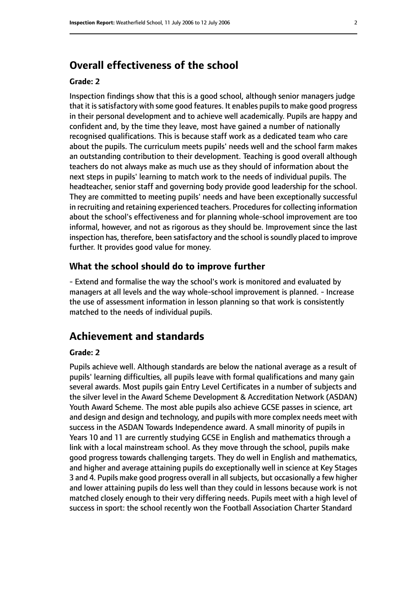# **Overall effectiveness of the school**

#### **Grade: 2**

Inspection findings show that this is a good school, although senior managers judge that it is satisfactory with some good features. It enables pupils to make good progress in their personal development and to achieve well academically. Pupils are happy and confident and, by the time they leave, most have gained a number of nationally recognised qualifications. This is because staff work as a dedicated team who care about the pupils. The curriculum meets pupils' needs well and the school farm makes an outstanding contribution to their development. Teaching is good overall although teachers do not always make as much use as they should of information about the next steps in pupils' learning to match work to the needs of individual pupils. The headteacher, senior staff and governing body provide good leadership for the school. They are committed to meeting pupils' needs and have been exceptionally successful in recruiting and retaining experienced teachers. Procedures for collecting information about the school's effectiveness and for planning whole-school improvement are too informal, however, and not as rigorous as they should be. Improvement since the last inspection has, therefore, been satisfactory and the school is soundly placed to improve further. It provides good value for money.

#### **What the school should do to improve further**

- Extend and formalise the way the school's work is monitored and evaluated by managers at all levels and the way whole-school improvement is planned. - Increase the use of assessment information in lesson planning so that work is consistently matched to the needs of individual pupils.

# **Achievement and standards**

#### **Grade: 2**

Pupils achieve well. Although standards are below the national average as a result of pupils' learning difficulties, all pupils leave with formal qualifications and many gain several awards. Most pupils gain Entry Level Certificates in a number of subjects and the silver level in the Award Scheme Development & Accreditation Network (ASDAN) Youth Award Scheme. The most able pupils also achieve GCSE passes in science, art and design and design and technology, and pupils with more complex needs meet with success in the ASDAN Towards Independence award. A small minority of pupils in Years 10 and 11 are currently studying GCSE in English and mathematics through a link with a local mainstream school. As they move through the school, pupils make good progress towards challenging targets. They do well in English and mathematics, and higher and average attaining pupils do exceptionally well in science at Key Stages 3 and 4. Pupils make good progress overall in all subjects, but occasionally a few higher and lower attaining pupils do less well than they could in lessons because work is not matched closely enough to their very differing needs. Pupils meet with a high level of success in sport: the school recently won the Football Association Charter Standard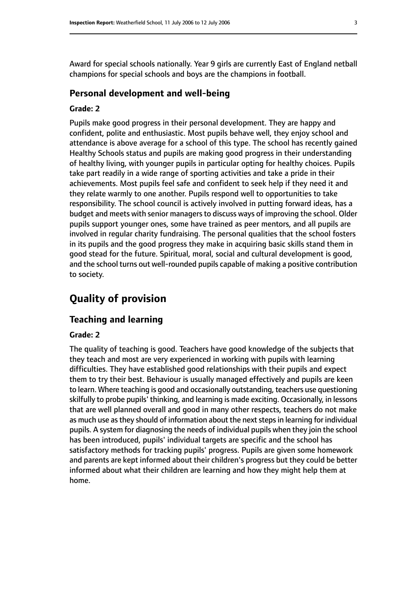Award for special schools nationally. Year 9 girls are currently East of England netball champions for special schools and boys are the champions in football.

#### **Personal development and well-being**

#### **Grade: 2**

Pupils make good progress in their personal development. They are happy and confident, polite and enthusiastic. Most pupils behave well, they enjoy school and attendance is above average for a school of this type. The school has recently gained Healthy Schools status and pupils are making good progress in their understanding of healthy living, with younger pupils in particular opting for healthy choices. Pupils take part readily in a wide range of sporting activities and take a pride in their achievements. Most pupils feel safe and confident to seek help if they need it and they relate warmly to one another. Pupils respond well to opportunities to take responsibility. The school council is actively involved in putting forward ideas, has a budget and meets with senior managers to discuss ways of improving the school. Older pupils support younger ones, some have trained as peer mentors, and all pupils are involved in regular charity fundraising. The personal qualities that the school fosters in its pupils and the good progress they make in acquiring basic skills stand them in good stead for the future. Spiritual, moral, social and cultural development is good, and the school turns out well-rounded pupils capable of making a positive contribution to society.

# **Quality of provision**

#### **Teaching and learning**

#### **Grade: 2**

The quality of teaching is good. Teachers have good knowledge of the subjects that they teach and most are very experienced in working with pupils with learning difficulties. They have established good relationships with their pupils and expect them to try their best. Behaviour is usually managed effectively and pupils are keen to learn. Where teaching is good and occasionally outstanding, teachers use questioning skilfully to probe pupils' thinking, and learning is made exciting. Occasionally, in lessons that are well planned overall and good in many other respects, teachers do not make as much use as they should of information about the next steps in learning for individual pupils. A system for diagnosing the needs of individual pupils when they join the school has been introduced, pupils' individual targets are specific and the school has satisfactory methods for tracking pupils' progress. Pupils are given some homework and parents are kept informed about their children's progress but they could be better informed about what their children are learning and how they might help them at home.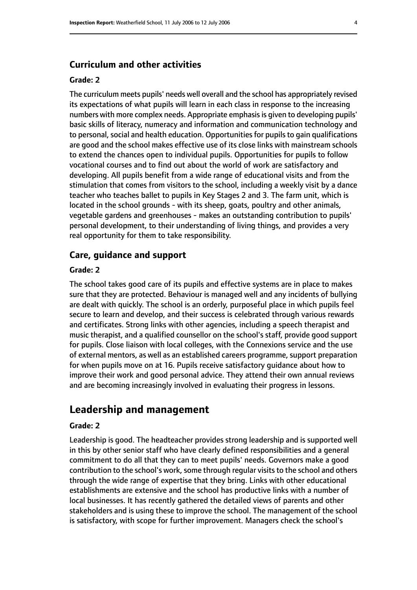#### **Curriculum and other activities**

#### **Grade: 2**

The curriculum meets pupils' needs well overall and the school has appropriately revised its expectations of what pupils will learn in each class in response to the increasing numbers with more complex needs. Appropriate emphasis is given to developing pupils' basic skills of literacy, numeracy and information and communication technology and to personal, social and health education. Opportunities for pupils to gain qualifications are good and the school makes effective use of its close links with mainstream schools to extend the chances open to individual pupils. Opportunities for pupils to follow vocational courses and to find out about the world of work are satisfactory and developing. All pupils benefit from a wide range of educational visits and from the stimulation that comes from visitors to the school, including a weekly visit by a dance teacher who teaches ballet to pupils in Key Stages 2 and 3. The farm unit, which is located in the school grounds - with its sheep, goats, poultry and other animals, vegetable gardens and greenhouses - makes an outstanding contribution to pupils' personal development, to their understanding of living things, and provides a very real opportunity for them to take responsibility.

#### **Care, guidance and support**

#### **Grade: 2**

The school takes good care of its pupils and effective systems are in place to makes sure that they are protected. Behaviour is managed well and any incidents of bullying are dealt with quickly. The school is an orderly, purposeful place in which pupils feel secure to learn and develop, and their success is celebrated through various rewards and certificates. Strong links with other agencies, including a speech therapist and music therapist, and a qualified counsellor on the school's staff, provide good support for pupils. Close liaison with local colleges, with the Connexions service and the use of external mentors, as well as an established careers programme, support preparation for when pupils move on at 16. Pupils receive satisfactory guidance about how to improve their work and good personal advice. They attend their own annual reviews and are becoming increasingly involved in evaluating their progress in lessons.

## **Leadership and management**

#### **Grade: 2**

Leadership is good. The headteacher provides strong leadership and is supported well in this by other senior staff who have clearly defined responsibilities and a general commitment to do all that they can to meet pupils' needs. Governors make a good contribution to the school's work, some through regular visits to the school and others through the wide range of expertise that they bring. Links with other educational establishments are extensive and the school has productive links with a number of local businesses. It has recently gathered the detailed views of parents and other stakeholders and is using these to improve the school. The management of the school is satisfactory, with scope for further improvement. Managers check the school's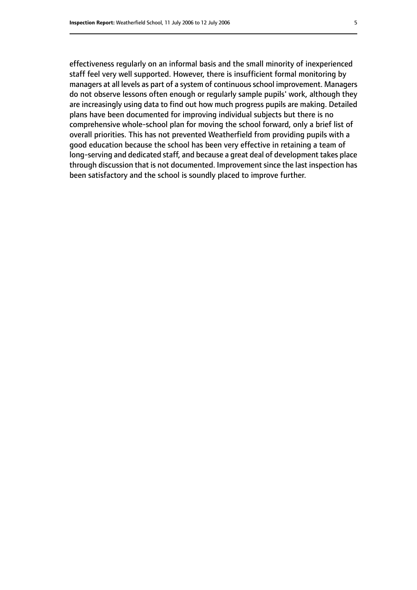effectiveness regularly on an informal basis and the small minority of inexperienced staff feel very well supported. However, there is insufficient formal monitoring by managers at all levels as part of a system of continuousschool improvement. Managers do not observe lessons often enough or regularly sample pupils' work, although they are increasingly using data to find out how much progress pupils are making. Detailed plans have been documented for improving individual subjects but there is no comprehensive whole-school plan for moving the school forward, only a brief list of overall priorities. This has not prevented Weatherfield from providing pupils with a good education because the school has been very effective in retaining a team of long-serving and dedicated staff, and because a great deal of development takes place through discussion that is not documented. Improvement since the last inspection has been satisfactory and the school is soundly placed to improve further.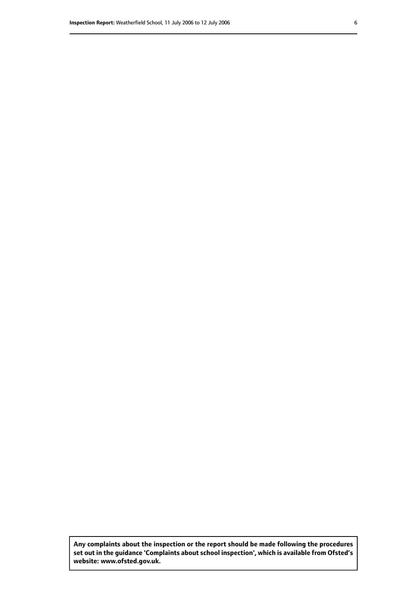**Any complaints about the inspection or the report should be made following the procedures set out inthe guidance 'Complaints about school inspection', whichis available from Ofsted's website: www.ofsted.gov.uk.**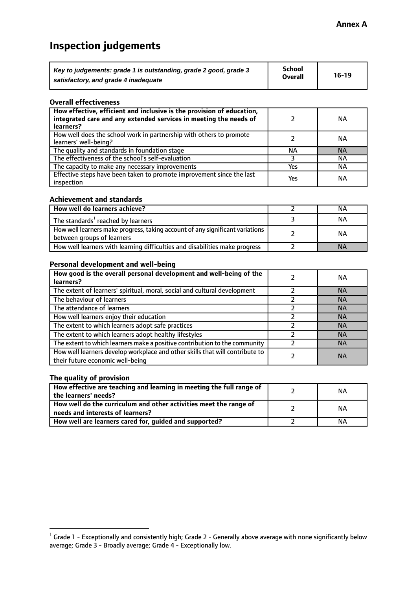# **Inspection judgements**

| Key to judgements: grade 1 is outstanding, grade 2 good, grade 3 | School<br><b>Overall</b> | $16-19$ |
|------------------------------------------------------------------|--------------------------|---------|
| satisfactory, and grade 4 inadequate                             |                          |         |

#### **Overall effectiveness**

| How effective, efficient and inclusive is the provision of education,<br>integrated care and any extended services in meeting the needs of<br>learners? |     | NА        |
|---------------------------------------------------------------------------------------------------------------------------------------------------------|-----|-----------|
| How well does the school work in partnership with others to promote<br>learners' well-being?                                                            |     | NА        |
| The quality and standards in foundation stage                                                                                                           | ΝA  | <b>NA</b> |
| The effectiveness of the school's self-evaluation                                                                                                       |     | ΝA        |
| The capacity to make any necessary improvements                                                                                                         | Yes | NА        |
| Effective steps have been taken to promote improvement since the last<br>inspection                                                                     | Yes | ΝA        |

#### **Achievement and standards**

| How well do learners achieve?                                                                               | ΝA        |
|-------------------------------------------------------------------------------------------------------------|-----------|
| The standards <sup>1</sup> reached by learners                                                              | NА        |
| How well learners make progress, taking account of any significant variations<br>between groups of learners | <b>NA</b> |
| How well learners with learning difficulties and disabilities make progress                                 | <b>NA</b> |

#### **Personal development and well-being**

| How good is the overall personal development and well-being of the                                               | NА        |
|------------------------------------------------------------------------------------------------------------------|-----------|
| learners?                                                                                                        |           |
| The extent of learners' spiritual, moral, social and cultural development                                        | <b>NA</b> |
| The behaviour of learners                                                                                        | <b>NA</b> |
| The attendance of learners                                                                                       | <b>NA</b> |
| How well learners enjoy their education                                                                          | <b>NA</b> |
| The extent to which learners adopt safe practices                                                                | <b>NA</b> |
| The extent to which learners adopt healthy lifestyles                                                            | <b>NA</b> |
| The extent to which learners make a positive contribution to the community                                       | <b>NA</b> |
| How well learners develop workplace and other skills that will contribute to<br>their future economic well-being | <b>NA</b> |

#### **The quality of provision**

| How effective are teaching and learning in meeting the full range of<br>the learners' needs?          | ΝA |
|-------------------------------------------------------------------------------------------------------|----|
| How well do the curriculum and other activities meet the range of<br>needs and interests of learners? | ΝA |
| How well are learners cared for, guided and supported?                                                | NА |

 $^1$  Grade 1 - Exceptionally and consistently high; Grade 2 - Generally above average with none significantly below average; Grade 3 - Broadly average; Grade 4 - Exceptionally low.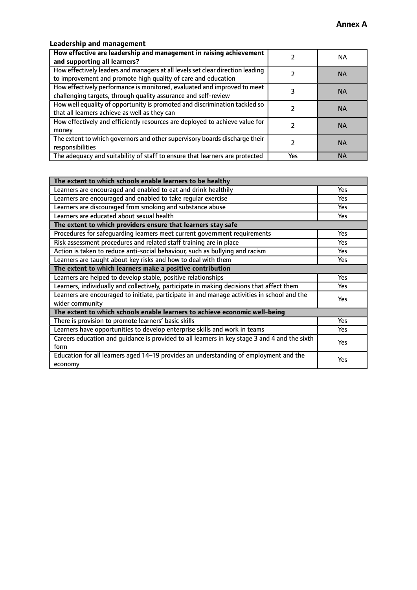# **Leadership and management**

| How effective are leadership and management in raising achievement<br>and supporting all learners?                                              |     | NA.       |
|-------------------------------------------------------------------------------------------------------------------------------------------------|-----|-----------|
| How effectively leaders and managers at all levels set clear direction leading<br>to improvement and promote high quality of care and education |     | <b>NA</b> |
| How effectively performance is monitored, evaluated and improved to meet<br>challenging targets, through quality assurance and self-review      |     | <b>NA</b> |
| How well equality of opportunity is promoted and discrimination tackled so<br>that all learners achieve as well as they can                     |     | <b>NA</b> |
| How effectively and efficiently resources are deployed to achieve value for<br>money                                                            |     | <b>NA</b> |
| The extent to which governors and other supervisory boards discharge their<br>responsibilities                                                  |     | <b>NA</b> |
| The adequacy and suitability of staff to ensure that learners are protected                                                                     | Yes | <b>NA</b> |

| The extent to which schools enable learners to be healthy                                     |            |  |
|-----------------------------------------------------------------------------------------------|------------|--|
| Learners are encouraged and enabled to eat and drink healthily                                | Yes        |  |
| Learners are encouraged and enabled to take regular exercise                                  | <b>Yes</b> |  |
| Learners are discouraged from smoking and substance abuse                                     | Yes        |  |
| Learners are educated about sexual health                                                     | Yes        |  |
| The extent to which providers ensure that learners stay safe                                  |            |  |
| Procedures for safequarding learners meet current government requirements                     | Yes        |  |
| Risk assessment procedures and related staff training are in place                            | <b>Yes</b> |  |
| Action is taken to reduce anti-social behaviour, such as bullying and racism                  | <b>Yes</b> |  |
| Learners are taught about key risks and how to deal with them                                 | Yes        |  |
| The extent to which learners make a positive contribution                                     |            |  |
| Learners are helped to develop stable, positive relationships                                 | Yes        |  |
| Learners, individually and collectively, participate in making decisions that affect them     | Yes        |  |
| Learners are encouraged to initiate, participate in and manage activities in school and the   | <b>Yes</b> |  |
| wider community                                                                               |            |  |
| The extent to which schools enable learners to achieve economic well-being                    |            |  |
| There is provision to promote learners' basic skills                                          | Yes        |  |
| Learners have opportunities to develop enterprise skills and work in teams                    | Yes        |  |
| Careers education and guidance is provided to all learners in key stage 3 and 4 and the sixth | Yes        |  |
| form                                                                                          |            |  |
| Education for all learners aged 14-19 provides an understanding of employment and the         | <b>Yes</b> |  |
| economy                                                                                       |            |  |